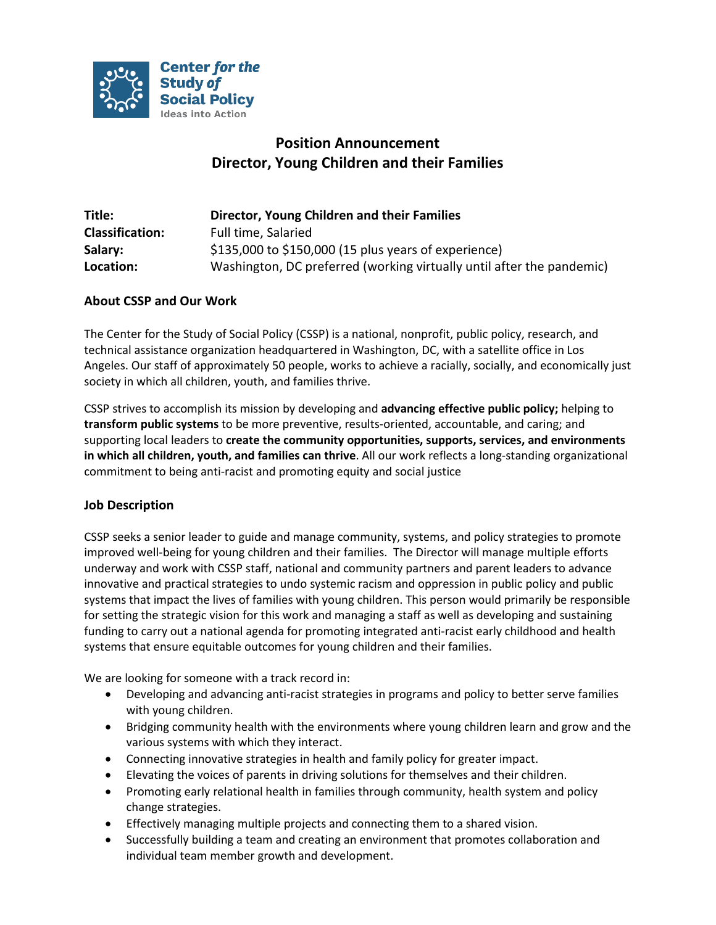

# **Position Announcement Director, Young Children and their Families**

| Title:                 | Director, Young Children and their Families                           |
|------------------------|-----------------------------------------------------------------------|
| <b>Classification:</b> | Full time, Salaried                                                   |
| Salary:                | $$135,000$ to $$150,000$ (15 plus years of experience)                |
| Location:              | Washington, DC preferred (working virtually until after the pandemic) |

# **About CSSP and Our Work**

The Center for the Study of Social Policy (CSSP) is a national, nonprofit, public policy, research, and technical assistance organization headquartered in Washington, DC, with a satellite office in Los Angeles. Our staff of approximately 50 people, works to achieve a racially, socially, and economically just society in which all children, youth, and families thrive.

CSSP strives to accomplish its mission by developing and **advancing effective public policy;** helping to **transform public systems** to be more preventive, results-oriented, accountable, and caring; and supporting local leaders to **create the community opportunities, supports, services, and environments in which all children, youth, and families can thrive**. All our work reflects a long-standing organizational commitment to being anti-racist and promoting equity and social justice

# **Job Description**

CSSP seeks a senior leader to guide and manage community, systems, and policy strategies to promote improved well-being for young children and their families. The Director will manage multiple efforts underway and work with CSSP staff, national and community partners and parent leaders to advance innovative and practical strategies to undo systemic racism and oppression in public policy and public systems that impact the lives of families with young children. This person would primarily be responsible for setting the strategic vision for this work and managing a staff as well as developing and sustaining funding to carry out a national agenda for promoting integrated anti-racist early childhood and health systems that ensure equitable outcomes for young children and their families.

We are looking for someone with a track record in:

- Developing and advancing anti-racist strategies in programs and policy to better serve families with young children.
- Bridging community health with the environments where young children learn and grow and the various systems with which they interact.
- Connecting innovative strategies in health and family policy for greater impact.
- Elevating the voices of parents in driving solutions for themselves and their children.
- Promoting early relational health in families through community, health system and policy change strategies.
- Effectively managing multiple projects and connecting them to a shared vision.
- Successfully building a team and creating an environment that promotes collaboration and individual team member growth and development.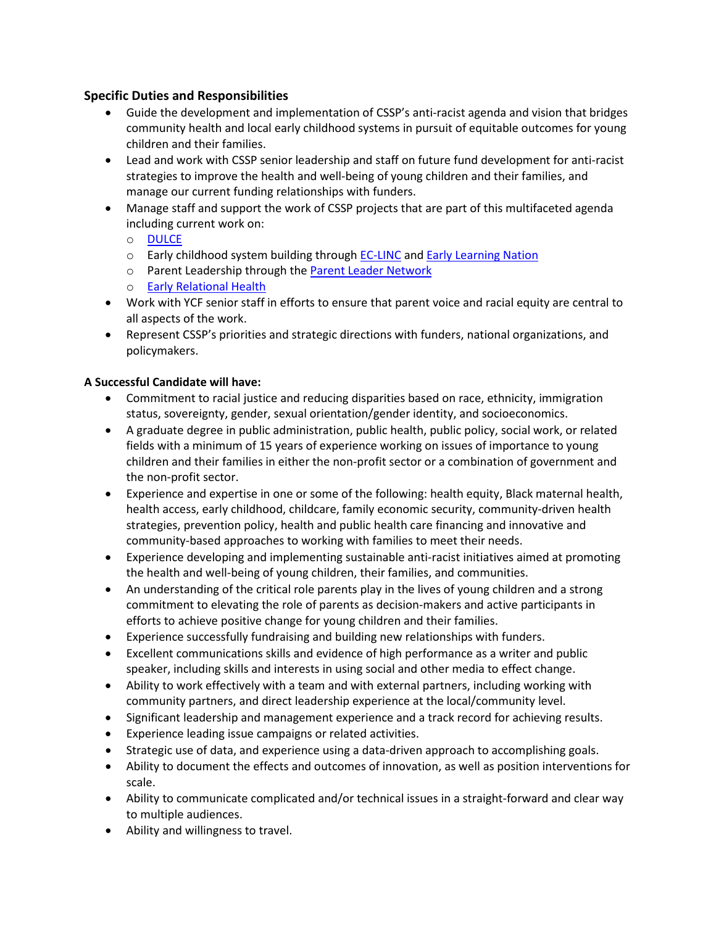# **Specific Duties and Responsibilities**

- Guide the development and implementation of CSSP's anti-racist agenda and vision that bridges community health and local early childhood systems in pursuit of equitable outcomes for young children and their families.
- Lead and work with CSSP senior leadership and staff on future fund development for anti-racist strategies to improve the health and well-being of young children and their families, and manage our current funding relationships with funders.
- Manage staff and support the work of CSSP projects that are part of this multifaceted agenda including current work on:
	- o [DULCE](https://cssp.org/our-work/project/dulce/)
	- o Early childhood system building through **EC-LINC** and **Early Learning Nation**
	- o Parent Leadership through the [Parent Leader](https://cssp.org/our-work/project/parent-leader-network/) Network
	- o [Early Relational Health](https://cssp.org/our-work/project/advancing-early-relational-health/)
- Work with YCF senior staff in efforts to ensure that parent voice and racial equity are central to all aspects of the work.
- Represent CSSP's priorities and strategic directions with funders, national organizations, and policymakers.

# **A Successful Candidate will have:**

- Commitment to racial justice and reducing disparities based on race, ethnicity, immigration status, sovereignty, gender, sexual orientation/gender identity, and socioeconomics.
- A graduate degree in public administration, public health, public policy, social work, or related fields with a minimum of 15 years of experience working on issues of importance to young children and their families in either the non-profit sector or a combination of government and the non-profit sector.
- Experience and expertise in one or some of the following: health equity, Black maternal health, health access, early childhood, childcare, family economic security, community-driven health strategies, prevention policy, health and public health care financing and innovative and community-based approaches to working with families to meet their needs.
- Experience developing and implementing sustainable anti-racist initiatives aimed at promoting the health and well-being of young children, their families, and communities.
- An understanding of the critical role parents play in the lives of young children and a strong commitment to elevating the role of parents as decision-makers and active participants in efforts to achieve positive change for young children and their families.
- Experience successfully fundraising and building new relationships with funders.
- Excellent communications skills and evidence of high performance as a writer and public speaker, including skills and interests in using social and other media to effect change.
- Ability to work effectively with a team and with external partners, including working with community partners, and direct leadership experience at the local/community level.
- Significant leadership and management experience and a track record for achieving results.
- Experience leading issue campaigns or related activities.
- Strategic use of data, and experience using a data-driven approach to accomplishing goals.
- Ability to document the effects and outcomes of innovation, as well as position interventions for scale.
- Ability to communicate complicated and/or technical issues in a straight-forward and clear way to multiple audiences.
- Ability and willingness to travel.